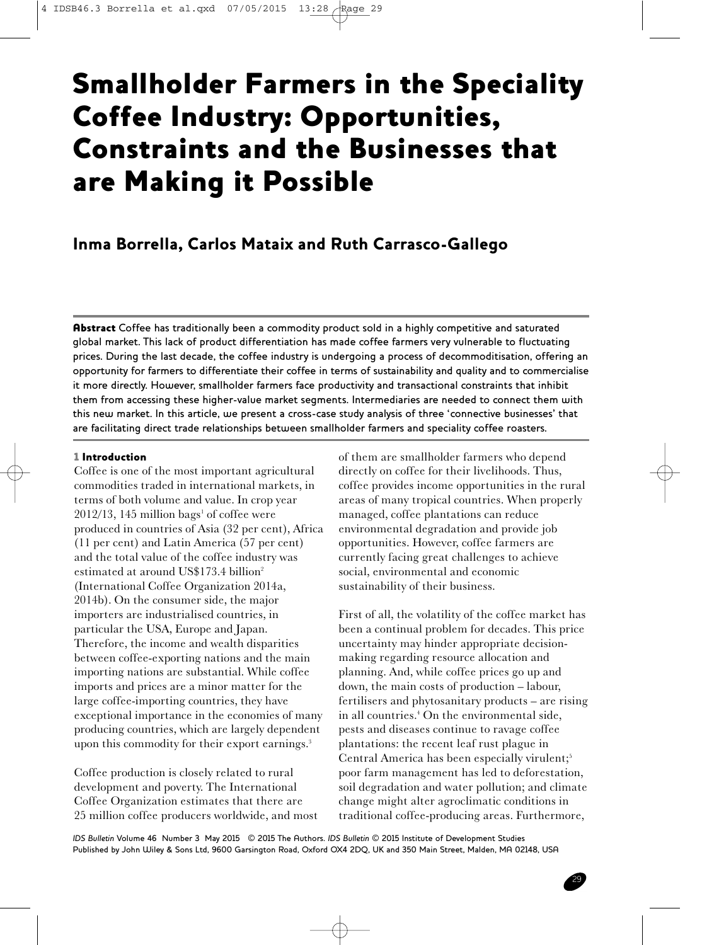# Smallholder Farmers in the Speciality Coffee Industry: Opportunities, Constraints and the Businesses that are Making it Possible

# Inma Borrella, Carlos Mataix and Ruth Carrasco-Gallego

Abstract Coffee has traditionally been a commodity product sold in a highly competitive and saturated global market. This lack of product differentiation has made coffee farmers very vulnerable to fluctuating prices. During the last decade, the coffee industry is undergoing a process of decommoditisation, offering an opportunity for farmers to differentiate their coffee in terms of sustainability and quality and to commercialise it more directly. However, smallholder farmers face productivity and transactional constraints that inhibit them from accessing these higher-value market segments. Intermediaries are needed to connect them with this new market. In this article, we present a cross-case study analysis of three 'connective businesses' that are facilitating direct trade relationships between smallholder farmers and speciality coffee roasters.

## 1 Introduction

Coffee is one of the most important agricultural commodities traded in international markets, in terms of both volume and value. In crop year  $2012/13$ , 145 million bags<sup>1</sup> of coffee were produced in countries of Asia (32 per cent), Africa (11 per cent) and Latin America (57 per cent) and the total value of the coffee industry was estimated at around US\$173.4 billion<sup>2</sup> (International Coffee Organization 2014a, 2014b). On the consumer side, the major importers are industrialised countries, in particular the USA, Europe and Japan. Therefore, the income and wealth disparities between coffee-exporting nations and the main importing nations are substantial. While coffee imports and prices are a minor matter for the large coffee-importing countries, they have exceptional importance in the economies of many producing countries, which are largely dependent upon this commodity for their export earnings.<sup>3</sup>

Coffee production is closely related to rural development and poverty. The International Coffee Organization estimates that there are 25 million coffee producers worldwide, and most of them are smallholder farmers who depend directly on coffee for their livelihoods. Thus, coffee provides income opportunities in the rural areas of many tropical countries. When properly managed, coffee plantations can reduce environmental degradation and provide job opportunities. However, coffee farmers are currently facing great challenges to achieve social, environmental and economic sustainability of their business.

First of all, the volatility of the coffee market has been a continual problem for decades. This price uncertainty may hinder appropriate decisionmaking regarding resource allocation and planning. And, while coffee prices go up and down, the main costs of production – labour, fertilisers and phytosanitary products – are rising in all countries.<sup>4</sup> On the environmental side, pests and diseases continue to ravage coffee plantations: the recent leaf rust plague in Central America has been especially virulent;<sup>5</sup> poor farm management has led to deforestation, soil degradation and water pollution; and climate change might alter agroclimatic conditions in traditional coffee-producing areas. Furthermore,

29

*IDS Bulletin* Volume 46 Number 3 May 2015 © 2015 The Authors. *IDS Bulletin* © 2015 Institute of Development Studies Published by John Wiley & Sons Ltd, 9600 Garsington Road, Oxford OX4 2DQ, UK and 350 Main Street, Malden, MA 02148, USA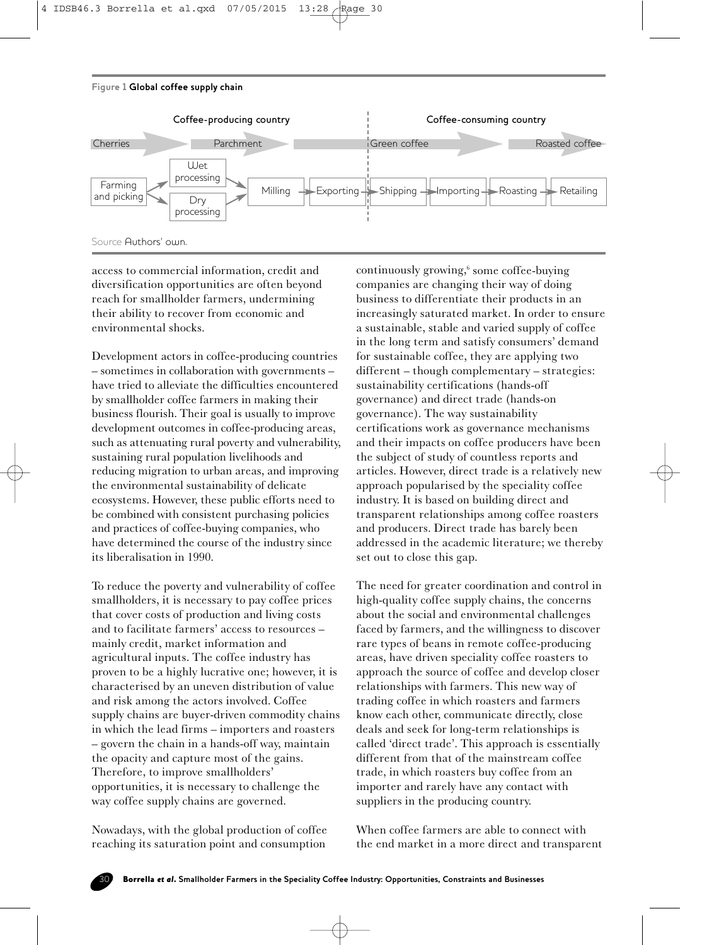#### **Figure 1 Global coffee supply chain**



Source Authors' own.

access to commercial information, credit and diversification opportunities are often beyond reach for smallholder farmers, undermining their ability to recover from economic and environmental shocks.

Development actors in coffee-producing countries – sometimes in collaboration with governments – have tried to alleviate the difficulties encountered by smallholder coffee farmers in making their business flourish. Their goal is usually to improve development outcomes in coffee-producing areas, such as attenuating rural poverty and vulnerability, sustaining rural population livelihoods and reducing migration to urban areas, and improving the environmental sustainability of delicate ecosystems. However, these public efforts need to be combined with consistent purchasing policies and practices of coffee-buying companies, who have determined the course of the industry since its liberalisation in 1990.

To reduce the poverty and vulnerability of coffee smallholders, it is necessary to pay coffee prices that cover costs of production and living costs and to facilitate farmers' access to resources – mainly credit, market information and agricultural inputs. The coffee industry has proven to be a highly lucrative one; however, it is characterised by an uneven distribution of value and risk among the actors involved. Coffee supply chains are buyer-driven commodity chains in which the lead firms – importers and roasters – govern the chain in a hands-off way, maintain the opacity and capture most of the gains. Therefore, to improve smallholders' opportunities, it is necessary to challenge the way coffee supply chains are governed.

Nowadays, with the global production of coffee reaching its saturation point and consumption

continuously growing,<sup>6</sup> some coffee-buying companies are changing their way of doing business to differentiate their products in an increasingly saturated market. In order to ensure a sustainable, stable and varied supply of coffee in the long term and satisfy consumers' demand for sustainable coffee, they are applying two different – though complementary – strategies: sustainability certifications (hands-off governance) and direct trade (hands-on governance). The way sustainability certifications work as governance mechanisms and their impacts on coffee producers have been the subject of study of countless reports and articles. However, direct trade is a relatively new approach popularised by the speciality coffee industry. It is based on building direct and transparent relationships among coffee roasters and producers. Direct trade has barely been addressed in the academic literature; we thereby set out to close this gap.

The need for greater coordination and control in high-quality coffee supply chains, the concerns about the social and environmental challenges faced by farmers, and the willingness to discover rare types of beans in remote coffee-producing areas, have driven speciality coffee roasters to approach the source of coffee and develop closer relationships with farmers. This new way of trading coffee in which roasters and farmers know each other, communicate directly, close deals and seek for long-term relationships is called 'direct trade'. This approach is essentially different from that of the mainstream coffee trade, in which roasters buy coffee from an importer and rarely have any contact with suppliers in the producing country.

When coffee farmers are able to connect with the end market in a more direct and transparent

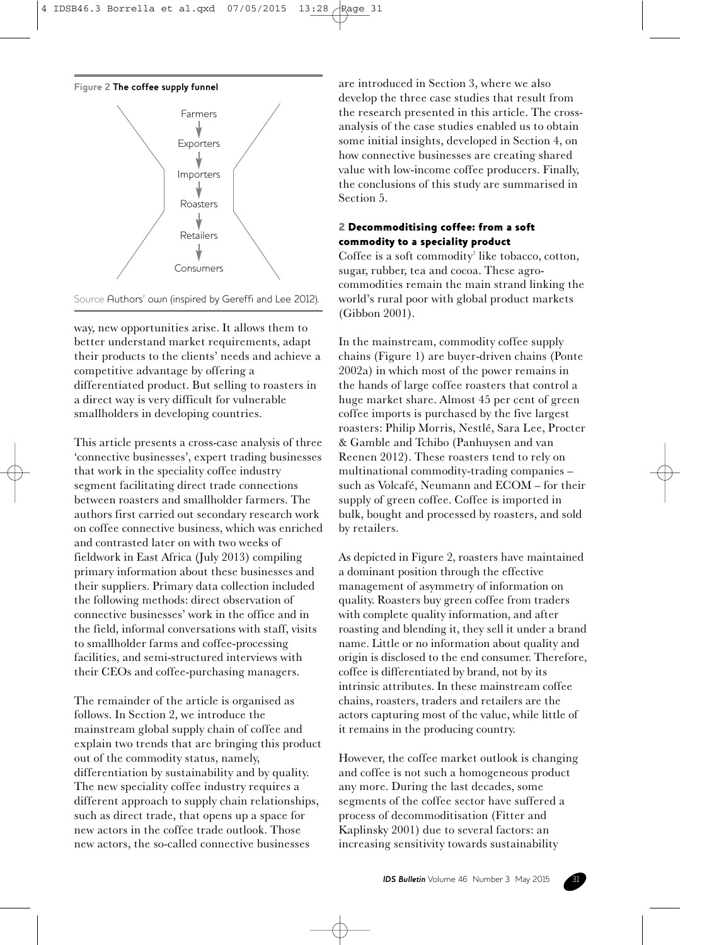#### **Figure 2 The coffee supply funnel**



Source Authors' own (inspired by Gereffi and Lee 2012).

way, new opportunities arise. It allows them to better understand market requirements, adapt their products to the clients' needs and achieve a competitive advantage by offering a differentiated product. But selling to roasters in a direct way is very difficult for vulnerable smallholders in developing countries.

This article presents a cross-case analysis of three 'connective businesses', expert trading businesses that work in the speciality coffee industry segment facilitating direct trade connections between roasters and smallholder farmers. The authors first carried out secondary research work on coffee connective business, which was enriched and contrasted later on with two weeks of fieldwork in East Africa (July 2013) compiling primary information about these businesses and their suppliers. Primary data collection included the following methods: direct observation of connective businesses' work in the office and in the field, informal conversations with staff, visits to smallholder farms and coffee-processing facilities, and semi-structured interviews with their CEOs and coffee-purchasing managers.

The remainder of the article is organised as follows. In Section 2, we introduce the mainstream global supply chain of coffee and explain two trends that are bringing this product out of the commodity status, namely, differentiation by sustainability and by quality. The new speciality coffee industry requires a different approach to supply chain relationships, such as direct trade, that opens up a space for new actors in the coffee trade outlook. Those new actors, the so-called connective businesses

are introduced in Section 3, where we also develop the three case studies that result from the research presented in this article. The crossanalysis of the case studies enabled us to obtain some initial insights, developed in Section 4, on how connective businesses are creating shared value with low-income coffee producers. Finally, the conclusions of this study are summarised in Section 5.

# 2 Decommoditising coffee: from a soft commodity to a speciality product

Coffee is a soft commodity<sup>7</sup> like tobacco, cotton, sugar, rubber, tea and cocoa. These agrocommodities remain the main strand linking the world's rural poor with global product markets (Gibbon 2001).

In the mainstream, commodity coffee supply chains (Figure 1) are buyer-driven chains (Ponte 2002a) in which most of the power remains in the hands of large coffee roasters that control a huge market share. Almost 45 per cent of green coffee imports is purchased by the five largest roasters: Philip Morris, Nestlé, Sara Lee, Procter & Gamble and Tchibo (Panhuysen and van Reenen 2012). These roasters tend to rely on multinational commodity-trading companies – such as Volcafé, Neumann and ECOM – for their supply of green coffee. Coffee is imported in bulk, bought and processed by roasters, and sold by retailers.

As depicted in Figure 2, roasters have maintained a dominant position through the effective management of asymmetry of information on quality. Roasters buy green coffee from traders with complete quality information, and after roasting and blending it, they sell it under a brand name. Little or no information about quality and origin is disclosed to the end consumer. Therefore, coffee is differentiated by brand, not by its intrinsic attributes. In these mainstream coffee chains, roasters, traders and retailers are the actors capturing most of the value, while little of it remains in the producing country.

However, the coffee market outlook is changing and coffee is not such a homogeneous product any more. During the last decades, some segments of the coffee sector have suffered a process of decommoditisation (Fitter and Kaplinsky 2001) due to several factors: an increasing sensitivity towards sustainability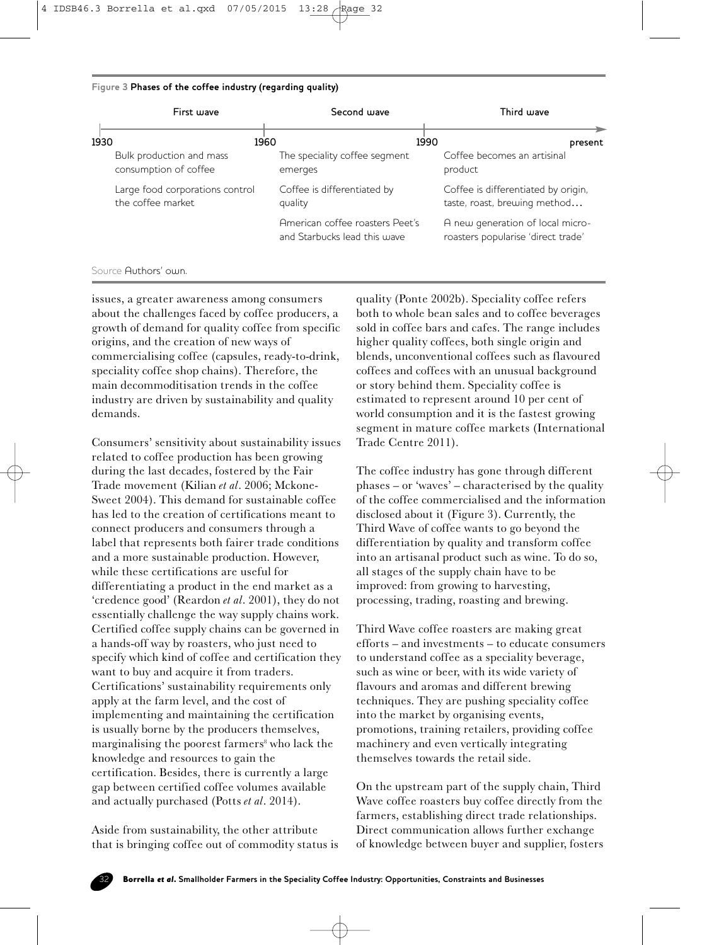#### **Figure 3 Phases of the coffee industry (regarding quality)**

|      | First wave                                            | Second wave                                                     | Third wave                                                             |
|------|-------------------------------------------------------|-----------------------------------------------------------------|------------------------------------------------------------------------|
| 1930 | Bulk production and mass<br>consumption of coffee     | 1960<br>The speciality coffee segment<br>emerges                | 1990<br>present<br>Coffee becomes an artisinal<br>product              |
|      | Large food corporations control<br>the coffee market. | Coffee is differentiated by<br>quality                          | Coffee is differentiated by origin,<br>taste, roast, brewing method    |
|      |                                                       | American coffee roasters Peet's<br>and Starbucks lead this wave | A new generation of local micro-<br>roasters popularise 'direct trade' |
|      |                                                       |                                                                 |                                                                        |

#### Source Authors' own.

issues, a greater awareness among consumers about the challenges faced by coffee producers, a growth of demand for quality coffee from specific origins, and the creation of new ways of commercialising coffee (capsules, ready-to-drink, speciality coffee shop chains). Therefore, the main decommoditisation trends in the coffee industry are driven by sustainability and quality demands.

Consumers' sensitivity about sustainability issues related to coffee production has been growing during the last decades, fostered by the Fair Trade movement (Kilian *et al*. 2006; Mckone-Sweet 2004). This demand for sustainable coffee has led to the creation of certifications meant to connect producers and consumers through a label that represents both fairer trade conditions and a more sustainable production. However, while these certifications are useful for differentiating a product in the end market as a 'credence good' (Reardon *et al*. 2001), they do not essentially challenge the way supply chains work. Certified coffee supply chains can be governed in a hands-off way by roasters, who just need to specify which kind of coffee and certification they want to buy and acquire it from traders. Certifications' sustainability requirements only apply at the farm level, and the cost of implementing and maintaining the certification is usually borne by the producers themselves, marginalising the poorest farmers<sup>8</sup> who lack the knowledge and resources to gain the certification. Besides, there is currently a large gap between certified coffee volumes available and actually purchased (Potts *et al*. 2014).

Aside from sustainability, the other attribute that is bringing coffee out of commodity status is quality (Ponte 2002b). Speciality coffee refers both to whole bean sales and to coffee beverages sold in coffee bars and cafes. The range includes higher quality coffees, both single origin and blends, unconventional coffees such as flavoured coffees and coffees with an unusual background or story behind them. Speciality coffee is estimated to represent around 10 per cent of world consumption and it is the fastest growing segment in mature coffee markets (International Trade Centre 2011).

The coffee industry has gone through different phases – or 'waves' – characterised by the quality of the coffee commercialised and the information disclosed about it (Figure 3). Currently, the Third Wave of coffee wants to go beyond the differentiation by quality and transform coffee into an artisanal product such as wine. To do so, all stages of the supply chain have to be improved: from growing to harvesting, processing, trading, roasting and brewing.

Third Wave coffee roasters are making great efforts – and investments – to educate consumers to understand coffee as a speciality beverage, such as wine or beer, with its wide variety of flavours and aromas and different brewing techniques. They are pushing speciality coffee into the market by organising events, promotions, training retailers, providing coffee machinery and even vertically integrating themselves towards the retail side.

On the upstream part of the supply chain, Third Wave coffee roasters buy coffee directly from the farmers, establishing direct trade relationships. Direct communication allows further exchange of knowledge between buyer and supplier, fosters

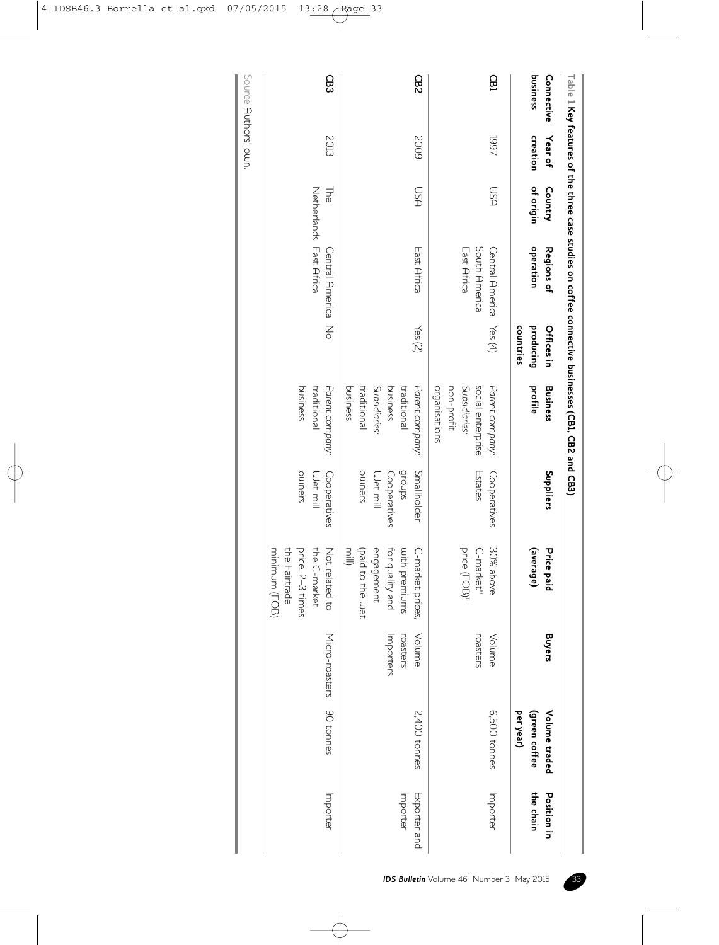| business<br>Connective | creation<br>Year of | of origin<br>Country | operation<br>Regions of  | producing<br><b>Offices in</b> | profile<br>Business         | Suppliers     | Price paid<br>(accrage)  | <b>Buyers</b>  | (green coffee<br>Volume traded | the chain<br>Position in |
|------------------------|---------------------|----------------------|--------------------------|--------------------------------|-----------------------------|---------------|--------------------------|----------------|--------------------------------|--------------------------|
|                        |                     |                      |                          | countries                      |                             |               |                          |                | per year)                      |                          |
| СB1                    | 1997                | DSP                  | Central America          | Yes(4)                         | Parent company:             | Cooperatives  | 30% above                | Volume         | 6,500 tonnes                   | Importer                 |
|                        |                     |                      | South America            |                                | social enterprise           | Estates       | C-market <sup>10</sup>   | roasters       |                                |                          |
|                        |                     |                      | East Africa              |                                | Subsidiaries:               |               | price (FOB) <sup>1</sup> |                |                                |                          |
|                        |                     |                      |                          |                                | organisations<br>non-profit |               |                          |                |                                |                          |
| CB2                    | 6002                | DSP                  | East Africa              | Xes(2)                         | Parent company:             | Smallholder   | C-market prices,         | Volume         | 2,400 tonnes                   | Exporter and             |
|                        |                     |                      |                          |                                | traditional                 | <b>Schoub</b> | with premiums            | roasters       |                                | importer                 |
|                        |                     |                      |                          |                                | business                    | Cooperatives  | For quality and          | Importers      |                                |                          |
|                        |                     |                      |                          |                                | Subsidiaries:               | Wet mill      | engagement               |                |                                |                          |
|                        |                     |                      |                          |                                | traditional                 | ouners        | (paid to the wet         |                |                                |                          |
|                        |                     |                      |                          |                                | business                    |               | lilli<br>Su              |                |                                |                          |
| CB3                    | 2013                | Fre                  | Central America No       |                                | Parent company:             | Cooperatives  | Not related to           | Micro-roasters | 90 tonnes                      | Importer                 |
|                        |                     |                      | Netherlands mast Diffica |                                | traditional                 | Wet mill      | the C-market             |                |                                |                          |
|                        |                     |                      |                          |                                | business                    | ouners        | price. 2-3 times         |                |                                |                          |
|                        |                     |                      |                          |                                |                             |               | the Fairtrade            |                |                                |                          |
|                        |                     |                      |                          |                                |                             |               | minimum (FOB)            |                |                                |                          |

Source Authors' own.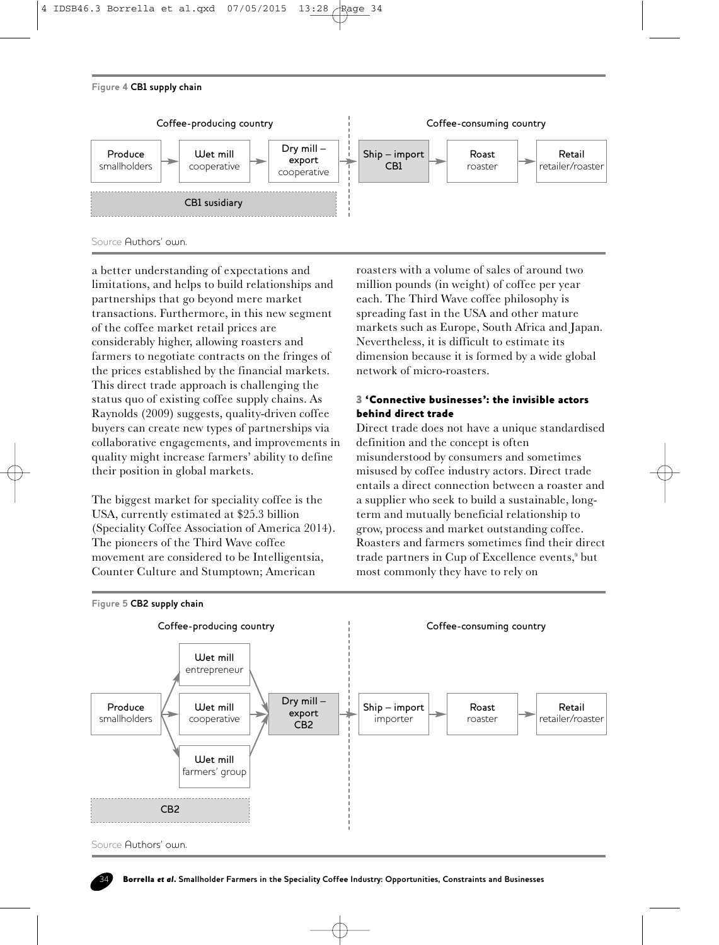#### **Figure 4 CB1 supply chain**



Source Authors' own.

a better understanding of expectations and limitations, and helps to build relationships and partnerships that go beyond mere market transactions. Furthermore, in this new segment of the coffee market retail prices are considerably higher, allowing roasters and farmers to negotiate contracts on the fringes of the prices established by the financial markets. This direct trade approach is challenging the status quo of existing coffee supply chains. As Raynolds (2009) suggests, quality-driven coffee buyers can create new types of partnerships via collaborative engagements, and improvements in quality might increase farmers' ability to define their position in global markets.

The biggest market for speciality coffee is the USA, currently estimated at \$25.3 billion (Speciality Coffee Association of America 2014). The pioneers of the Third Wave coffee movement are considered to be Intelligentsia, Counter Culture and Stumptown; American

roasters with a volume of sales of around two million pounds (in weight) of coffee per year each. The Third Wave coffee philosophy is spreading fast in the USA and other mature markets such as Europe, South Africa and Japan. Nevertheless, it is difficult to estimate its dimension because it is formed by a wide global network of micro-roasters.

# 3 'Connective businesses': the invisible actors behind direct trade

Direct trade does not have a unique standardised definition and the concept is often misunderstood by consumers and sometimes misused by coffee industry actors. Direct trade entails a direct connection between a roaster and a supplier who seek to build a sustainable, longterm and mutually beneficial relationship to grow, process and market outstanding coffee. Roasters and farmers sometimes find their direct trade partners in Cup of Excellence events,<sup>9</sup> but most commonly they have to rely on



Source Authors' own.

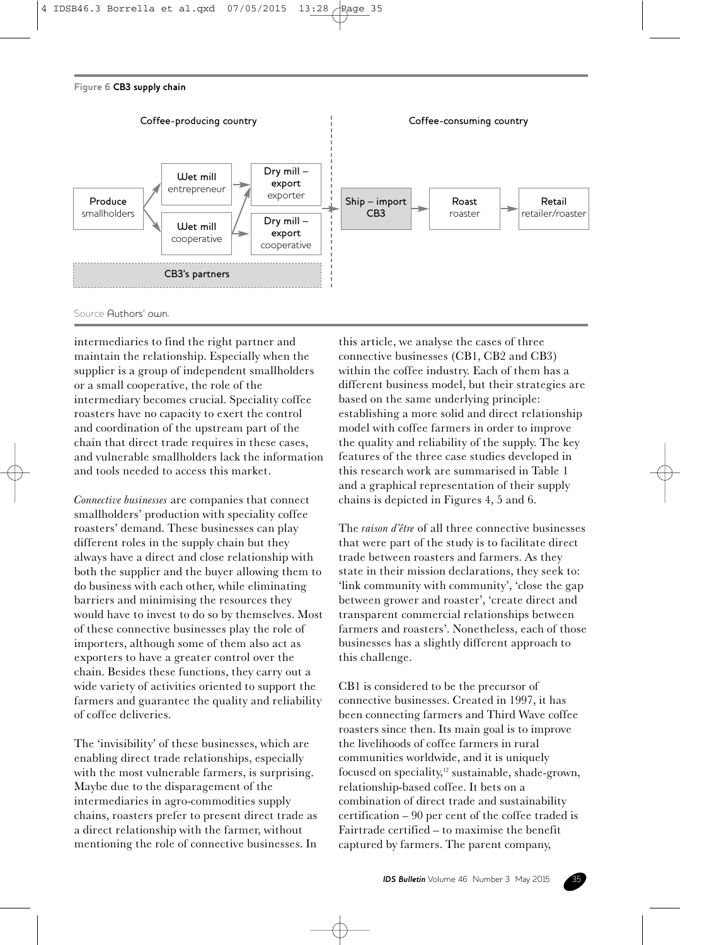#### **Figure 6 CB3 supply chain**



#### Source Authors' own.

intermediaries to find the right partner and maintain the relationship. Especially when the supplier is a group of independent smallholders or a small cooperative, the role of the intermediary becomes crucial. Speciality coffee roasters have no capacity to exert the control and coordination of the upstream part of the chain that direct trade requires in these cases, and vulnerable smallholders lack the information and tools needed to access this market.

*Connective businesses* are companies that connect smallholders' production with speciality coffee roasters' demand. These businesses can play different roles in the supply chain but they always have a direct and close relationship with both the supplier and the buyer allowing them to do business with each other, while eliminating barriers and minimising the resources they would have to invest to do so by themselves. Most of these connective businesses play the role of importers, although some of them also act as exporters to have a greater control over the chain. Besides these functions, they carry out a wide variety of activities oriented to support the farmers and guarantee the quality and reliability of coffee deliveries.

The 'invisibility' of these businesses, which are enabling direct trade relationships, especially with the most vulnerable farmers, is surprising. Maybe due to the disparagement of the intermediaries in agro-commodities supply chains, roasters prefer to present direct trade as a direct relationship with the farmer, without mentioning the role of connective businesses. In this article, we analyse the cases of three connective businesses (CB1, CB2 and CB3) within the coffee industry. Each of them has a different business model, but their strategies are based on the same underlying principle: establishing a more solid and direct relationship model with coffee farmers in order to improve the quality and reliability of the supply. The key features of the three case studies developed in this research work are summarised in Table 1 and a graphical representation of their supply chains is depicted in Figures 4, 5 and 6.

The *raison d'être* of all three connective businesses that were part of the study is to facilitate direct trade between roasters and farmers. As they state in their mission declarations, they seek to: 'link community with community', 'close the gap between grower and roaster', 'create direct and transparent commercial relationships between farmers and roasters'. Nonetheless, each of those businesses has a slightly different approach to this challenge.

CB1 is considered to be the precursor of connective businesses. Created in 1997, it has been connecting farmers and Third Wave coffee roasters since then. Its main goal is to improve the livelihoods of coffee farmers in rural communities worldwide, and it is uniquely focused on speciality,<sup>12</sup> sustainable, shade-grown, relationship-based coffee. It bets on a combination of direct trade and sustainability certification – 90 per cent of the coffee traded is Fairtrade certified – to maximise the benefit captured by farmers. The parent company,

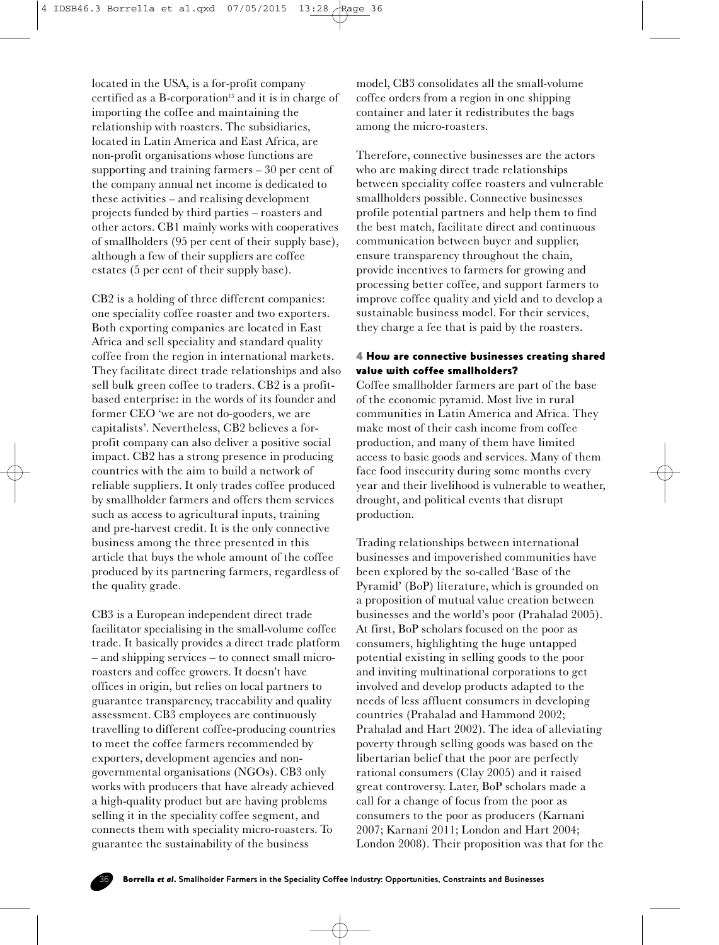located in the USA, is a for-profit company certified as a B-corporation<sup>13</sup> and it is in charge of importing the coffee and maintaining the relationship with roasters. The subsidiaries, located in Latin America and East Africa, are non-profit organisations whose functions are supporting and training farmers – 30 per cent of the company annual net income is dedicated to these activities – and realising development projects funded by third parties – roasters and other actors. CB1 mainly works with cooperatives of smallholders (95 per cent of their supply base), although a few of their suppliers are coffee estates (5 per cent of their supply base).

CB2 is a holding of three different companies: one speciality coffee roaster and two exporters. Both exporting companies are located in East Africa and sell speciality and standard quality coffee from the region in international markets. They facilitate direct trade relationships and also sell bulk green coffee to traders. CB2 is a profitbased enterprise: in the words of its founder and former CEO 'we are not do-gooders, we are capitalists'. Nevertheless, CB2 believes a forprofit company can also deliver a positive social impact. CB2 has a strong presence in producing countries with the aim to build a network of reliable suppliers. It only trades coffee produced by smallholder farmers and offers them services such as access to agricultural inputs, training and pre-harvest credit. It is the only connective business among the three presented in this article that buys the whole amount of the coffee produced by its partnering farmers, regardless of the quality grade.

CB3 is a European independent direct trade facilitator specialising in the small-volume coffee trade. It basically provides a direct trade platform – and shipping services – to connect small microroasters and coffee growers. It doesn't have offices in origin, but relies on local partners to guarantee transparency, traceability and quality assessment. CB3 employees are continuously travelling to different coffee-producing countries to meet the coffee farmers recommended by exporters, development agencies and nongovernmental organisations (NGOs). CB3 only works with producers that have already achieved a high-quality product but are having problems selling it in the speciality coffee segment, and connects them with speciality micro-roasters. To guarantee the sustainability of the business

model, CB3 consolidates all the small-volume coffee orders from a region in one shipping container and later it redistributes the bags among the micro-roasters.

Therefore, connective businesses are the actors who are making direct trade relationships between speciality coffee roasters and vulnerable smallholders possible. Connective businesses profile potential partners and help them to find the best match, facilitate direct and continuous communication between buyer and supplier, ensure transparency throughout the chain, provide incentives to farmers for growing and processing better coffee, and support farmers to improve coffee quality and yield and to develop a sustainable business model. For their services, they charge a fee that is paid by the roasters.

# 4 How are connective businesses creating shared value with coffee smallholders?

Coffee smallholder farmers are part of the base of the economic pyramid. Most live in rural communities in Latin America and Africa. They make most of their cash income from coffee production, and many of them have limited access to basic goods and services. Many of them face food insecurity during some months every year and their livelihood is vulnerable to weather, drought, and political events that disrupt production.

Trading relationships between international businesses and impoverished communities have been explored by the so-called 'Base of the Pyramid' (BoP) literature, which is grounded on a proposition of mutual value creation between businesses and the world's poor (Prahalad 2005). At first, BoP scholars focused on the poor as consumers, highlighting the huge untapped potential existing in selling goods to the poor and inviting multinational corporations to get involved and develop products adapted to the needs of less affluent consumers in developing countries (Prahalad and Hammond 2002; Prahalad and Hart 2002). The idea of alleviating poverty through selling goods was based on the libertarian belief that the poor are perfectly rational consumers (Clay 2005) and it raised great controversy. Later, BoP scholars made a call for a change of focus from the poor as consumers to the poor as producers (Karnani 2007; Karnani 2011; London and Hart 2004; London 2008). Their proposition was that for the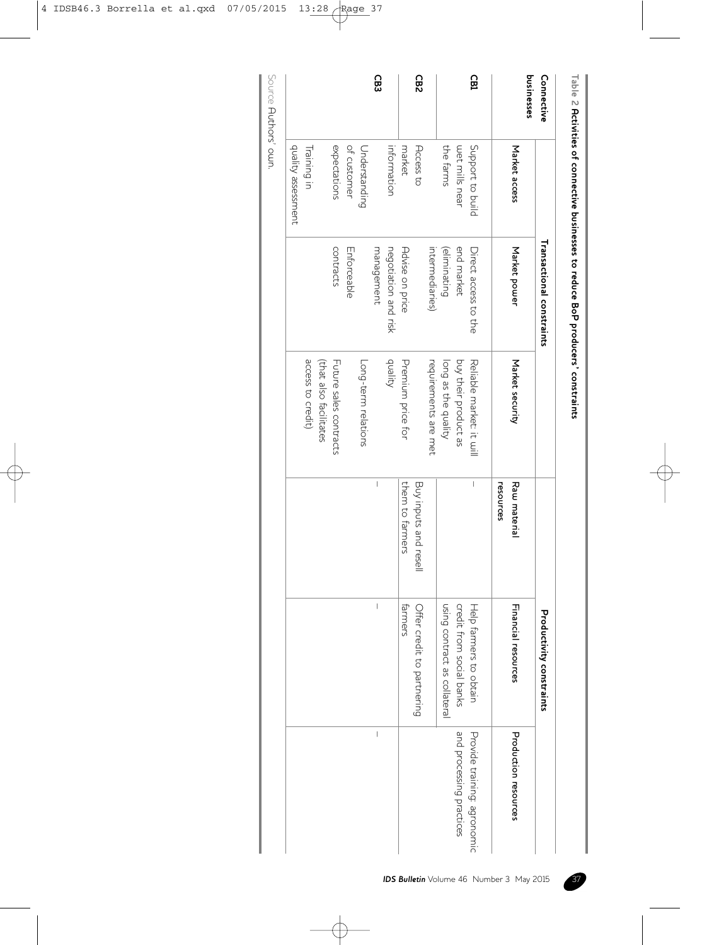| Connective |                    | Transactional constraints |                          |                           | Productivity constraints       |                                                                                                                                                                                                                                                                                                                                                                                  |
|------------|--------------------|---------------------------|--------------------------|---------------------------|--------------------------------|----------------------------------------------------------------------------------------------------------------------------------------------------------------------------------------------------------------------------------------------------------------------------------------------------------------------------------------------------------------------------------|
| businesses | Market access      | Market power              | Market security          | resources<br>Raw material | Financial resources            | Production resources                                                                                                                                                                                                                                                                                                                                                             |
| СB1        | Support to build   | Direct access to the      | Reliable market: it unil | I                         | Help farmers to obtain         | Provide training: agronomic                                                                                                                                                                                                                                                                                                                                                      |
|            | wet mills near     | end market                | buy their product as     |                           | credit<br>from social banks    | and processing practices                                                                                                                                                                                                                                                                                                                                                         |
|            | the farms          | (eliminating              | long as the quality      |                           | using contract as collateral   |                                                                                                                                                                                                                                                                                                                                                                                  |
|            |                    | intermediaries)           | requirements are met     |                           |                                |                                                                                                                                                                                                                                                                                                                                                                                  |
| <b>CB2</b> | Access to          |                           |                          | Buy inputs and resell     | Offer credit to partnering     |                                                                                                                                                                                                                                                                                                                                                                                  |
|            | market             | Advise on price           | Premium price for        | them to farmers           | tarmers                        |                                                                                                                                                                                                                                                                                                                                                                                  |
|            | information        | negotiation and risk      | Anjenb                   |                           |                                |                                                                                                                                                                                                                                                                                                                                                                                  |
| CB3        |                    | management                |                          |                           | $\begin{array}{c} \end{array}$ | $\begin{array}{c} \rule{0pt}{2.5ex} \rule{0pt}{2.5ex} \rule{0pt}{2.5ex} \rule{0pt}{2.5ex} \rule{0pt}{2.5ex} \rule{0pt}{2.5ex} \rule{0pt}{2.5ex} \rule{0pt}{2.5ex} \rule{0pt}{2.5ex} \rule{0pt}{2.5ex} \rule{0pt}{2.5ex} \rule{0pt}{2.5ex} \rule{0pt}{2.5ex} \rule{0pt}{2.5ex} \rule{0pt}{2.5ex} \rule{0pt}{2.5ex} \rule{0pt}{2.5ex} \rule{0pt}{2.5ex} \rule{0pt}{2.5ex} \rule{0$ |
|            | Understanding      |                           | Long-term relations      |                           |                                |                                                                                                                                                                                                                                                                                                                                                                                  |
|            | of customer        | Enforceable               |                          |                           |                                |                                                                                                                                                                                                                                                                                                                                                                                  |
|            | expectations       | contracts                 | Future sales contracts   |                           |                                |                                                                                                                                                                                                                                                                                                                                                                                  |
|            |                    |                           | (that also facilitates   |                           |                                |                                                                                                                                                                                                                                                                                                                                                                                  |
|            | Training in        |                           | access to credit)        |                           |                                |                                                                                                                                                                                                                                                                                                                                                                                  |
|            | duality assessment |                           |                          |                           |                                |                                                                                                                                                                                                                                                                                                                                                                                  |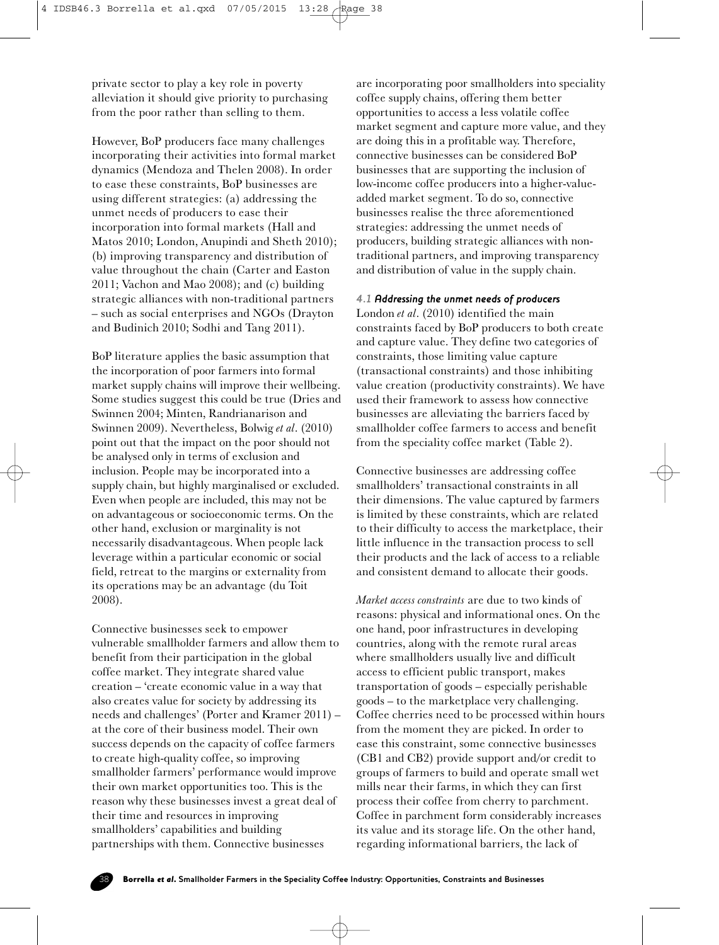private sector to play a key role in poverty alleviation it should give priority to purchasing from the poor rather than selling to them.

However, BoP producers face many challenges incorporating their activities into formal market dynamics (Mendoza and Thelen 2008). In order to ease these constraints, BoP businesses are using different strategies: (a) addressing the unmet needs of producers to ease their incorporation into formal markets (Hall and Matos 2010; London, Anupindi and Sheth 2010); (b) improving transparency and distribution of value throughout the chain (Carter and Easton 2011; Vachon and Mao 2008); and (c) building strategic alliances with non-traditional partners – such as social enterprises and NGOs (Drayton and Budinich 2010; Sodhi and Tang 2011).

BoP literature applies the basic assumption that the incorporation of poor farmers into formal market supply chains will improve their wellbeing. Some studies suggest this could be true (Dries and Swinnen 2004; Minten, Randrianarison and Swinnen 2009). Nevertheless, Bolwig *et al*. (2010) point out that the impact on the poor should not be analysed only in terms of exclusion and inclusion. People may be incorporated into a supply chain, but highly marginalised or excluded. Even when people are included, this may not be on advantageous or socioeconomic terms. On the other hand, exclusion or marginality is not necessarily disadvantageous. When people lack leverage within a particular economic or social field, retreat to the margins or externality from its operations may be an advantage (du Toit 2008).

Connective businesses seek to empower vulnerable smallholder farmers and allow them to benefit from their participation in the global coffee market. They integrate shared value creation – 'create economic value in a way that also creates value for society by addressing its needs and challenges' (Porter and Kramer 2011) – at the core of their business model. Their own success depends on the capacity of coffee farmers to create high-quality coffee, so improving smallholder farmers' performance would improve their own market opportunities too. This is the reason why these businesses invest a great deal of their time and resources in improving smallholders' capabilities and building partnerships with them. Connective businesses

are incorporating poor smallholders into speciality coffee supply chains, offering them better opportunities to access a less volatile coffee market segment and capture more value, and they are doing this in a profitable way. Therefore, connective businesses can be considered BoP businesses that are supporting the inclusion of low-income coffee producers into a higher-valueadded market segment. To do so, connective businesses realise the three aforementioned strategies: addressing the unmet needs of producers, building strategic alliances with nontraditional partners, and improving transparency and distribution of value in the supply chain.

#### *4.1 Addressing the unmet needs of producers*

London *et al*. (2010) identified the main constraints faced by BoP producers to both create and capture value. They define two categories of constraints, those limiting value capture (transactional constraints) and those inhibiting value creation (productivity constraints). We have used their framework to assess how connective businesses are alleviating the barriers faced by smallholder coffee farmers to access and benefit from the speciality coffee market (Table 2).

Connective businesses are addressing coffee smallholders' transactional constraints in all their dimensions. The value captured by farmers is limited by these constraints, which are related to their difficulty to access the marketplace, their little influence in the transaction process to sell their products and the lack of access to a reliable and consistent demand to allocate their goods.

*Market access constraints* are due to two kinds of reasons: physical and informational ones. On the one hand, poor infrastructures in developing countries, along with the remote rural areas where smallholders usually live and difficult access to efficient public transport, makes transportation of goods – especially perishable goods – to the marketplace very challenging. Coffee cherries need to be processed within hours from the moment they are picked. In order to ease this constraint, some connective businesses (CB1 and CB2) provide support and/or credit to groups of farmers to build and operate small wet mills near their farms, in which they can first process their coffee from cherry to parchment. Coffee in parchment form considerably increases its value and its storage life. On the other hand, regarding informational barriers, the lack of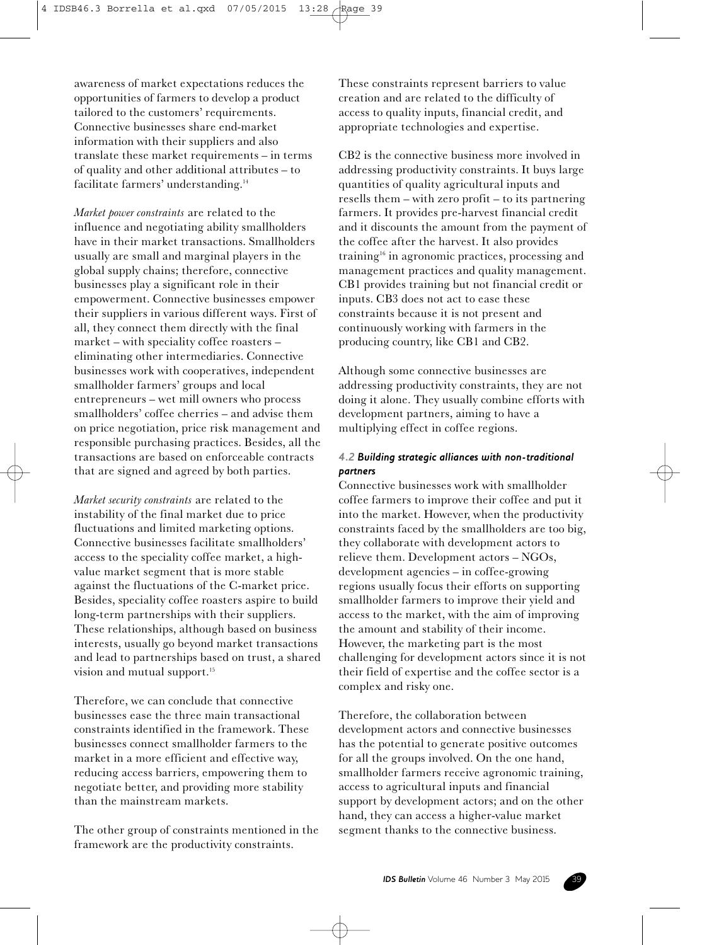awareness of market expectations reduces the opportunities of farmers to develop a product tailored to the customers' requirements. Connective businesses share end-market information with their suppliers and also translate these market requirements – in terms of quality and other additional attributes – to facilitate farmers' understanding.<sup>14</sup>

*Market power constraints* are related to the influence and negotiating ability smallholders have in their market transactions. Smallholders usually are small and marginal players in the global supply chains; therefore, connective businesses play a significant role in their empowerment. Connective businesses empower their suppliers in various different ways. First of all, they connect them directly with the final market – with speciality coffee roasters – eliminating other intermediaries. Connective businesses work with cooperatives, independent smallholder farmers' groups and local entrepreneurs – wet mill owners who process smallholders' coffee cherries – and advise them on price negotiation, price risk management and responsible purchasing practices. Besides, all the transactions are based on enforceable contracts that are signed and agreed by both parties.

*Market security constraints* are related to the instability of the final market due to price fluctuations and limited marketing options. Connective businesses facilitate smallholders' access to the speciality coffee market, a highvalue market segment that is more stable against the fluctuations of the C-market price. Besides, speciality coffee roasters aspire to build long-term partnerships with their suppliers. These relationships, although based on business interests, usually go beyond market transactions and lead to partnerships based on trust, a shared vision and mutual support.<sup>15</sup>

Therefore, we can conclude that connective businesses ease the three main transactional constraints identified in the framework. These businesses connect smallholder farmers to the market in a more efficient and effective way, reducing access barriers, empowering them to negotiate better, and providing more stability than the mainstream markets.

The other group of constraints mentioned in the framework are the productivity constraints.

These constraints represent barriers to value creation and are related to the difficulty of access to quality inputs, financial credit, and appropriate technologies and expertise.

CB2 is the connective business more involved in addressing productivity constraints. It buys large quantities of quality agricultural inputs and resells them – with zero profit – to its partnering farmers. It provides pre-harvest financial credit and it discounts the amount from the payment of the coffee after the harvest. It also provides training16 in agronomic practices, processing and management practices and quality management. CB1 provides training but not financial credit or inputs. CB3 does not act to ease these constraints because it is not present and continuously working with farmers in the producing country, like CB1 and CB2.

Although some connective businesses are addressing productivity constraints, they are not doing it alone. They usually combine efforts with development partners, aiming to have a multiplying effect in coffee regions.

# *4.2 Building strategic alliances with non-traditional partners*

Connective businesses work with smallholder coffee farmers to improve their coffee and put it into the market. However, when the productivity constraints faced by the smallholders are too big, they collaborate with development actors to relieve them. Development actors – NGOs, development agencies – in coffee-growing regions usually focus their efforts on supporting smallholder farmers to improve their yield and access to the market, with the aim of improving the amount and stability of their income. However, the marketing part is the most challenging for development actors since it is not their field of expertise and the coffee sector is a complex and risky one.

Therefore, the collaboration between development actors and connective businesses has the potential to generate positive outcomes for all the groups involved. On the one hand, smallholder farmers receive agronomic training, access to agricultural inputs and financial support by development actors; and on the other hand, they can access a higher-value market segment thanks to the connective business.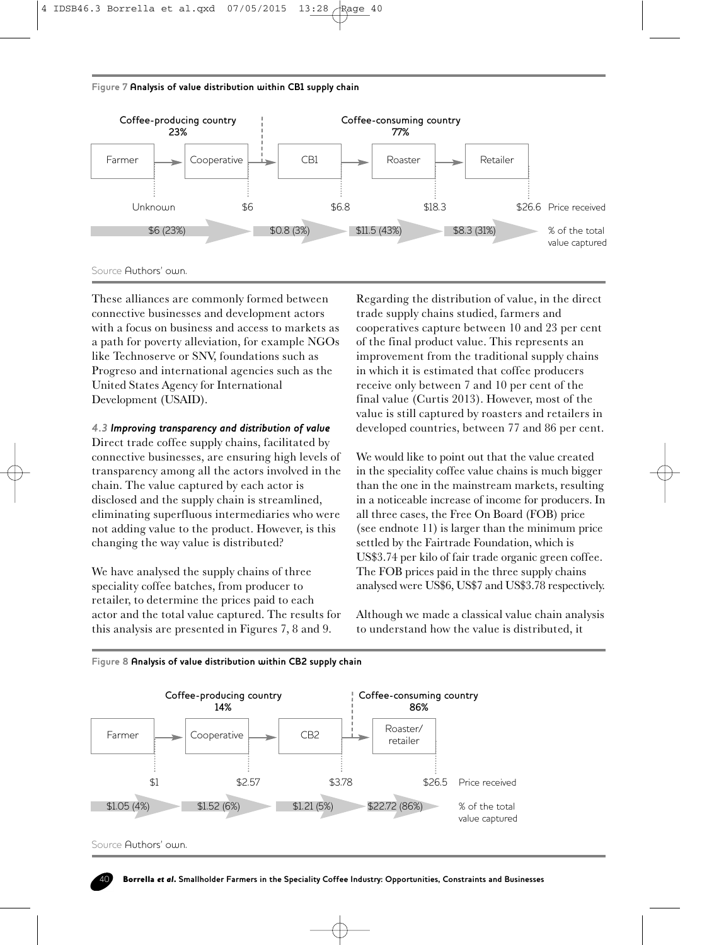#### **Figure 7 Analysis of value distribution within CB1 supply chain**



## Source Authors' own.

These alliances are commonly formed between connective businesses and development actors with a focus on business and access to markets as a path for poverty alleviation, for example NGOs like Technoserve or SNV, foundations such as Progreso and international agencies such as the United States Agency for International Development (USAID).

#### *4.3 Improving transparency and distribution of value*

Direct trade coffee supply chains, facilitated by connective businesses, are ensuring high levels of transparency among all the actors involved in the chain. The value captured by each actor is disclosed and the supply chain is streamlined, eliminating superfluous intermediaries who were not adding value to the product. However, is this changing the way value is distributed?

We have analysed the supply chains of three speciality coffee batches, from producer to retailer, to determine the prices paid to each actor and the total value captured. The results for this analysis are presented in Figures 7, 8 and 9.

Regarding the distribution of value, in the direct trade supply chains studied, farmers and cooperatives capture between 10 and 23 per cent of the final product value. This represents an improvement from the traditional supply chains in which it is estimated that coffee producers receive only between 7 and 10 per cent of the final value (Curtis 2013). However, most of the value is still captured by roasters and retailers in developed countries, between 77 and 86 per cent.

We would like to point out that the value created in the speciality coffee value chains is much bigger than the one in the mainstream markets, resulting in a noticeable increase of income for producers. In all three cases, the Free On Board (FOB) price (see endnote 11) is larger than the minimum price settled by the Fairtrade Foundation, which is US\$3.74 per kilo of fair trade organic green coffee. The FOB prices paid in the three supply chains analysed were US\$6, US\$7 and US\$3.78 respectively.

Although we made a classical value chain analysis to understand how the value is distributed, it





Source Authors' own.

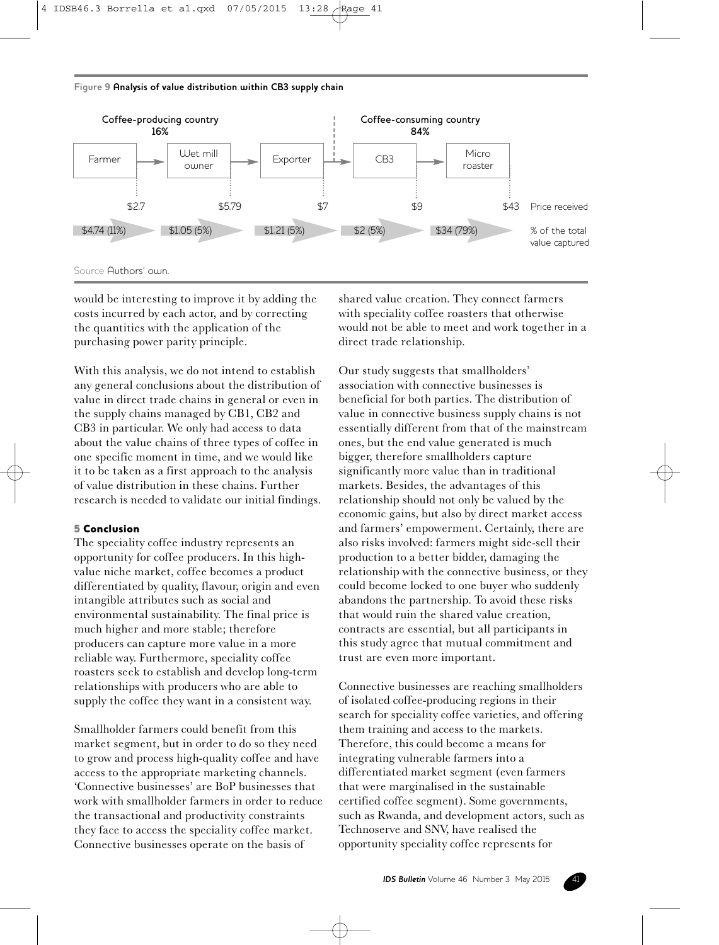**Figure 9 Analysis of value distribution within CB3 supply chain**



would be interesting to improve it by adding the costs incurred by each actor, and by correcting the quantities with the application of the purchasing power parity principle.

With this analysis, we do not intend to establish any general conclusions about the distribution of value in direct trade chains in general or even in the supply chains managed by CB1, CB2 and CB3 in particular. We only had access to data about the value chains of three types of coffee in one specific moment in time, and we would like it to be taken as a first approach to the analysis of value distribution in these chains. Further research is needed to validate our initial findings.

#### 5 Conclusion

The speciality coffee industry represents an opportunity for coffee producers. In this highvalue niche market, coffee becomes a product differentiated by quality, flavour, origin and even intangible attributes such as social and environmental sustainability. The final price is much higher and more stable; therefore producers can capture more value in a more reliable way. Furthermore, speciality coffee roasters seek to establish and develop long-term relationships with producers who are able to supply the coffee they want in a consistent way.

Smallholder farmers could benefit from this market segment, but in order to do so they need to grow and process high-quality coffee and have access to the appropriate marketing channels. 'Connective businesses' are BoP businesses that work with smallholder farmers in order to reduce the transactional and productivity constraints they face to access the speciality coffee market. Connective businesses operate on the basis of

shared value creation. They connect farmers with speciality coffee roasters that otherwise would not be able to meet and work together in a direct trade relationship.

Our study suggests that smallholders' association with connective businesses is beneficial for both parties. The distribution of value in connective business supply chains is not essentially different from that of the mainstream ones, but the end value generated is much bigger, therefore smallholders capture significantly more value than in traditional markets. Besides, the advantages of this relationship should not only be valued by the economic gains, but also by direct market access and farmers' empowerment. Certainly, there are also risks involved: farmers might side-sell their production to a better bidder, damaging the relationship with the connective business, or they could become locked to one buyer who suddenly abandons the partnership. To avoid these risks that would ruin the shared value creation, contracts are essential, but all participants in this study agree that mutual commitment and trust are even more important.

Connective businesses are reaching smallholders of isolated coffee-producing regions in their search for speciality coffee varieties, and offering them training and access to the markets. Therefore, this could become a means for integrating vulnerable farmers into a differentiated market segment (even farmers that were marginalised in the sustainable certified coffee segment). Some governments, such as Rwanda, and development actors, such as Technoserve and SNV, have realised the opportunity speciality coffee represents for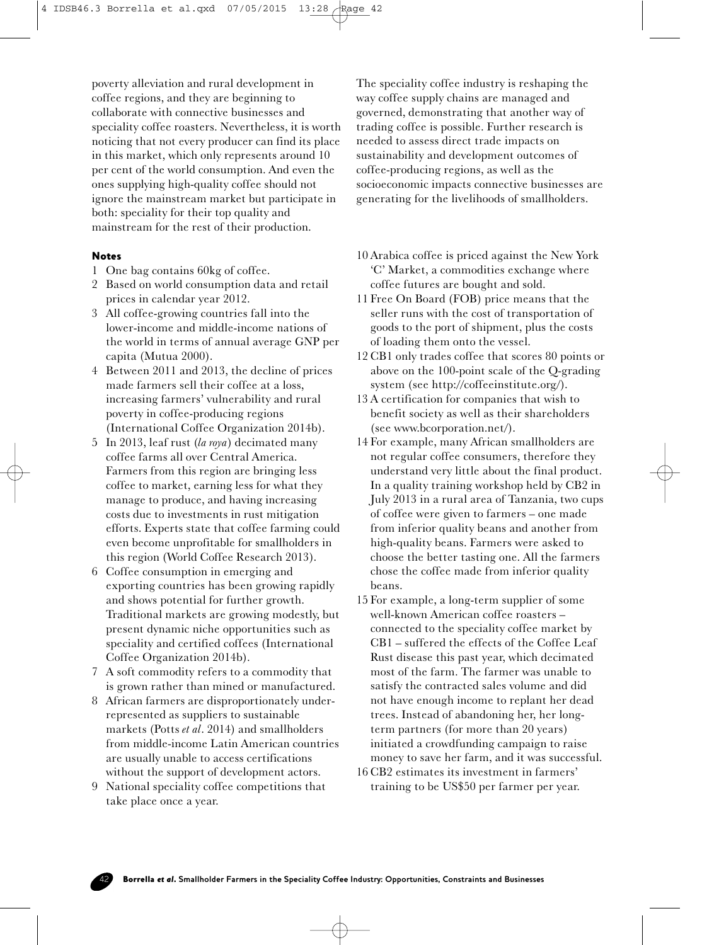poverty alleviation and rural development in coffee regions, and they are beginning to collaborate with connective businesses and speciality coffee roasters. Nevertheless, it is worth noticing that not every producer can find its place in this market, which only represents around 10 per cent of the world consumption. And even the ones supplying high-quality coffee should not ignore the mainstream market but participate in both: speciality for their top quality and mainstream for the rest of their production.

#### Notes

- 1 One bag contains 60kg of coffee.
- 2 Based on world consumption data and retail prices in calendar year 2012.
- 3 All coffee-growing countries fall into the lower-income and middle-income nations of the world in terms of annual average GNP per capita (Mutua 2000).
- 4 Between 2011 and 2013, the decline of prices made farmers sell their coffee at a loss, increasing farmers' vulnerability and rural poverty in coffee-producing regions (International Coffee Organization 2014b).
- 5 In 2013, leaf rust (*la roya*) decimated many coffee farms all over Central America. Farmers from this region are bringing less coffee to market, earning less for what they manage to produce, and having increasing costs due to investments in rust mitigation efforts. Experts state that coffee farming could even become unprofitable for smallholders in this region (World Coffee Research 2013).
- 6 Coffee consumption in emerging and exporting countries has been growing rapidly and shows potential for further growth. Traditional markets are growing modestly, but present dynamic niche opportunities such as speciality and certified coffees (International Coffee Organization 2014b).
- 7 A soft commodity refers to a commodity that is grown rather than mined or manufactured.
- 8 African farmers are disproportionately underrepresented as suppliers to sustainable markets (Potts *et al*. 2014) and smallholders from middle-income Latin American countries are usually unable to access certifications without the support of development actors.
- 9 National speciality coffee competitions that take place once a year.

The speciality coffee industry is reshaping the way coffee supply chains are managed and governed, demonstrating that another way of trading coffee is possible. Further research is needed to assess direct trade impacts on sustainability and development outcomes of coffee-producing regions, as well as the socioeconomic impacts connective businesses are generating for the livelihoods of smallholders.

- 10 Arabica coffee is priced against the New York 'C' Market, a commodities exchange where coffee futures are bought and sold.
- 11 Free On Board (FOB) price means that the seller runs with the cost of transportation of goods to the port of shipment, plus the costs of loading them onto the vessel.
- 12 CB1 only trades coffee that scores 80 points or above on the 100-point scale of the Q-grading system (see http://coffeeinstitute.org/).
- 13 A certification for companies that wish to benefit society as well as their shareholders (see www.bcorporation.net/).
- 14 For example, many African smallholders are not regular coffee consumers, therefore they understand very little about the final product. In a quality training workshop held by CB2 in July 2013 in a rural area of Tanzania, two cups of coffee were given to farmers – one made from inferior quality beans and another from high-quality beans. Farmers were asked to choose the better tasting one. All the farmers chose the coffee made from inferior quality beans.
- 15 For example, a long-term supplier of some well-known American coffee roasters – connected to the speciality coffee market by CB1 – suffered the effects of the Coffee Leaf Rust disease this past year, which decimated most of the farm. The farmer was unable to satisfy the contracted sales volume and did not have enough income to replant her dead trees. Instead of abandoning her, her longterm partners (for more than 20 years) initiated a crowdfunding campaign to raise money to save her farm, and it was successful.
- 16 CB2 estimates its investment in farmers' training to be US\$50 per farmer per year.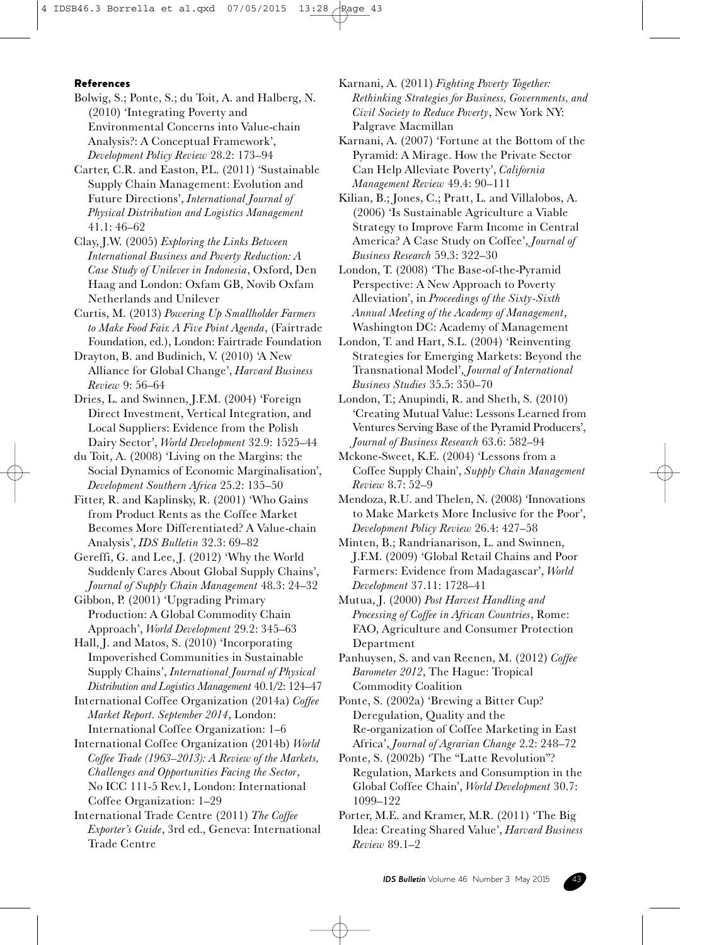# References

- Bolwig, S.; Ponte, S.; du Toit, A. and Halberg, N. (2010) 'Integrating Poverty and Environmental Concerns into Value-chain Analysis?: A Conceptual Framework', *Development Policy Review* 28.2: 173–94
- Carter, C.R. and Easton, P.L. (2011) 'Sustainable Supply Chain Management: Evolution and Future Directions', *International Journal of Physical Distribution and Logistics Management* 41.1: 46–62
- Clay, J.W. (2005) *Exploring the Links Between International Business and Poverty Reduction: A Case Study of Unilever in Indonesia*, Oxford, Den Haag and London: Oxfam GB, Novib Oxfam Netherlands and Unilever
- Curtis, M. (2013) *Powering Up Smallholder Farmers to Make Food Fair. A Five Point Agenda*, (Fairtrade Foundation, ed.), London: Fairtrade Foundation
- Drayton, B. and Budinich, V. (2010) 'A New Alliance for Global Change', *Harvard Business Review* 9: 56–64
- Dries, L. and Swinnen, J.F.M. (2004) 'Foreign Direct Investment, Vertical Integration, and Local Suppliers: Evidence from the Polish Dairy Sector', *World Development* 32.9: 1525–44
- du Toit, A. (2008) 'Living on the Margins: the Social Dynamics of Economic Marginalisation', *Development Southern Africa* 25.2: 135–50
- Fitter, R. and Kaplinsky, R. (2001) 'Who Gains from Product Rents as the Coffee Market Becomes More Differentiated? A Value-chain Analysis', *IDS Bulletin* 32.3: 69–82
- Gereffi, G. and Lee, J. (2012) 'Why the World Suddenly Cares About Global Supply Chains', *Journal of Supply Chain Management* 48.3: 24–32
- Gibbon, P. (2001) 'Upgrading Primary Production: A Global Commodity Chain Approach', *World Development* 29.2: 345–63
- Hall, J. and Matos, S. (2010) 'Incorporating Impoverished Communities in Sustainable Supply Chains', *International Journal of Physical Distribution and Logistics Management* 40.1/2: 124–47
- International Coffee Organization (2014a) *Coffee Market Report. September 2014*, London: International Coffee Organization: 1–6
- International Coffee Organization (2014b) *World Coffee Trade (1963–2013): A Review of the Markets, Challenges and Opportunities Facing the Sector*, No ICC 111-5 Rev.1, London: International Coffee Organization: 1–29
- International Trade Centre (2011) *The Coffee Exporter's Guide*, 3rd ed., Geneva: International Trade Centre
- Karnani, A. (2011) *Fighting Poverty Together: Rethinking Strategies for Business, Governments, and Civil Society to Reduce Poverty*, New York NY: Palgrave Macmillan
- Karnani, A. (2007) 'Fortune at the Bottom of the Pyramid: A Mirage. How the Private Sector Can Help Alleviate Poverty', *California Management Review* 49.4: 90–111
- Kilian, B.; Jones, C.; Pratt, L. and Villalobos, A. (2006) 'Is Sustainable Agriculture a Viable Strategy to Improve Farm Income in Central America? A Case Study on Coffee', *Journal of Business Research* 59.3: 322–30
- London, T. (2008) 'The Base-of-the-Pyramid Perspective: A New Approach to Poverty Alleviation', in *Proceedings of the Sixty-Sixth Annual Meeting of the Academy of Management*, Washington DC: Academy of Management
- London, T. and Hart, S.L. (2004) 'Reinventing Strategies for Emerging Markets: Beyond the Transnational Model', *Journal of International Business Studies* 35.5: 350–70
- London, T.; Anupindi, R. and Sheth, S. (2010) 'Creating Mutual Value: Lessons Learned from Ventures Serving Base of the Pyramid Producers', *Journal of Business Research* 63.6: 582–94
- Mckone-Sweet, K.E. (2004) 'Lessons from a Coffee Supply Chain', *Supply Chain Management Review* 8.7: 52–9
- Mendoza, R.U. and Thelen, N. (2008) 'Innovations to Make Markets More Inclusive for the Poor', *Development Policy Review* 26.4: 427–58
- Minten, B.; Randrianarison, L. and Swinnen, J.F.M. (2009) 'Global Retail Chains and Poor Farmers: Evidence from Madagascar', *World Development* 37.11: 1728–41
- Mutua, J. (2000) *Post Harvest Handling and Processing of Coffee in African Countries*, Rome: FAO, Agriculture and Consumer Protection Department
- Panhuysen, S. and van Reenen, M. (2012) *Coffee Barometer 2012*, The Hague: Tropical Commodity Coalition
- Ponte, S. (2002a) 'Brewing a Bitter Cup? Deregulation, Quality and the Re-organization of Coffee Marketing in East Africa', *Journal of Agrarian Change* 2.2: 248–72
- Ponte, S. (2002b) 'The "Latte Revolution"? Regulation, Markets and Consumption in the Global Coffee Chain', *World Development* 30.7: 1099–122
- Porter, M.E. and Kramer, M.R. (2011) 'The Big Idea: Creating Shared Value', *Harvard Business Review* 89.1–2